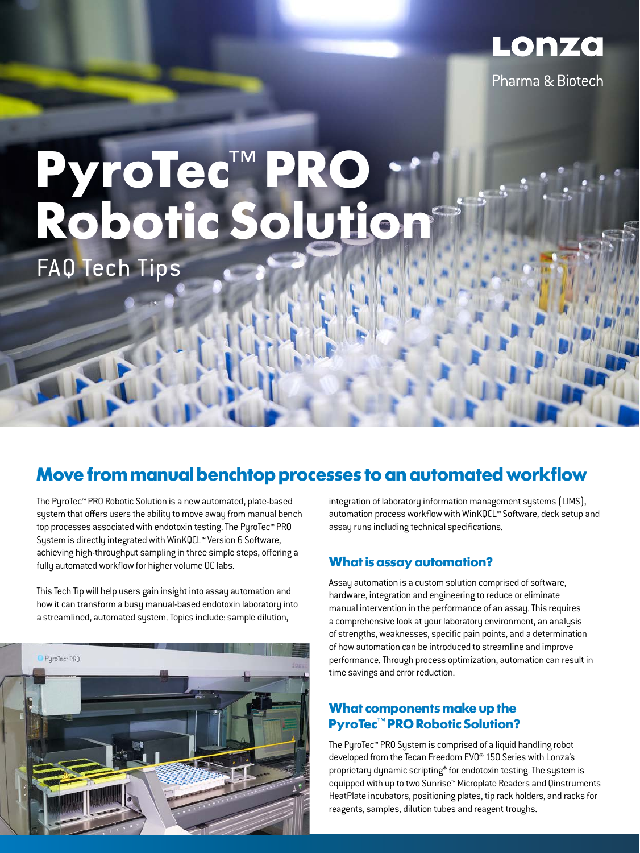

# **PyroTec**™ **PRO Robotic Solution**

FAQ Tech Tips

### **Move from manual benchtop processes to an automated workflow**

The PyroTec™ PRO Robotic Solution is a new automated, plate-based system that offers users the ability to move away from manual bench top processes associated with endotoxin testing. The PyroTec™ PRO System is directly integrated with WinKQCL™ Version 6 Software, achieving high-throughput sampling in three simple steps, offering a fully automated workflow for higher volume QC labs.

This Tech Tip will help users gain insight into assay automation and how it can transform a busy manual-based endotoxin laboratory into a streamlined, automated system. Topics include: sample dilution,



integration of laboratory information management systems (LIMS), automation process workflow with WinKQCL™ Software, deck setup and assay runs including technical specifications.

#### **What is assay automation?**

Assay automation is a custom solution comprised of software, hardware, integration and engineering to reduce or eliminate manual intervention in the performance of an assay. This requires a comprehensive look at your laboratory environment, an analysis of strengths, weaknesses, specific pain points, and a determination of how automation can be introduced to streamline and improve performance. Through process optimization, automation can result in time savings and error reduction.

#### **What components make up the PyroTec**™ **PRO Robotic Solution?**

The PyroTec™ PRO System is comprised of a liquid handling robot developed from the Tecan Freedom EVO® 150 Series with Lonza's proprietary dynamic scripting\* for endotoxin testing. The system is equipped with up to two Sunrise™ Microplate Readers and Qinstruments HeatPlate incubators, positioning plates, tip rack holders, and racks for reagents, samples, dilution tubes and reagent troughs.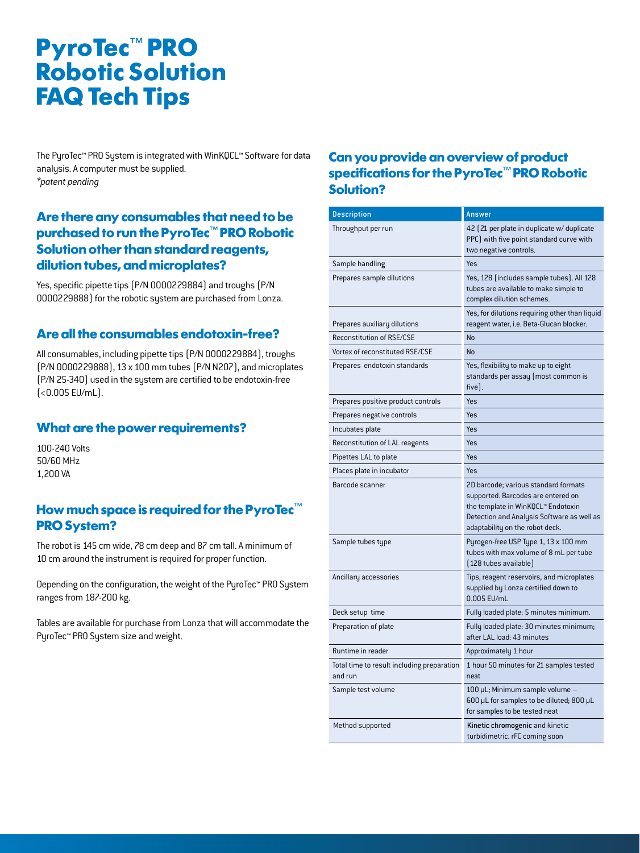The PyroTec™ PRO System is integrated with WinKQCL™ Software for data analysis. A computer must be supplied. *\*patent pending*

#### **Are there any consumables that need to be purchased to run the PyroTec**™ **PRO Robotic Solution other than standard reagents, dilution tubes, and microplates?**

Yes, specific pipette tips (P/N 0000229884) and troughs (P/N 0000229888) for the robotic system are purchased from Lonza.

#### **Are all the consumables endotoxin-free?**

All consumables, including pipette tips (P/N 0000229884), troughs (P/N 0000229888), 13 x 100 mm tubes (P/N N207), and microplates (P/N 25-340) used in the system are certified to be endotoxin-free (<0.005 EU/mL).

#### **What are the power requirements?**

100-240 Volts 50/60 MHz 1,200 VA

#### **How much space is required for the PyroTec**™ **PRO System?**

The robot is 145 cm wide, 78 cm deep and 87 cm tall. A minimum of 10 cm around the instrument is required for proper function.

Depending on the configuration, the weight of the PyroTec™ PRO System ranges from 187-200 kg.

Tables are available for purchase from Lonza that will accommodate the PyroTec™ PRO System size and weight.

#### **Can you provide an overview of product specifications for the PyroTec**™ **PRO Robotic Solution?**

| <b>Description</b>                                    | Answer                                                                                                                                                                                            |
|-------------------------------------------------------|---------------------------------------------------------------------------------------------------------------------------------------------------------------------------------------------------|
| Throughput per run                                    | 42 (21 per plate in duplicate w/duplicate<br>PPC) with five point standard curve with<br>two negative controls.                                                                                   |
| Sample handling                                       | Yes                                                                                                                                                                                               |
| Prepares sample dilutions                             | Yes, 128 (includes sample tubes). All 128<br>tubes are available to make simple to<br>complex dilution schemes.                                                                                   |
| Prepares auxiliary dilutions                          | Yes, for dilutions requiring other than liquid<br>reagent water, i.e. Beta-Glucan blocker.                                                                                                        |
| Reconstitution of RSE/CSE                             | No                                                                                                                                                                                                |
| Vortex of reconstituted RSE/CSE                       | No                                                                                                                                                                                                |
| Prepares endotoxin standards                          | Yes, flexibility to make up to eight<br>standards per assay (most common is<br>five).                                                                                                             |
| Prepares positive product controls                    | Yes                                                                                                                                                                                               |
| Prepares negative controls                            | Yes                                                                                                                                                                                               |
| Incubates plate                                       | Yes                                                                                                                                                                                               |
| Reconstitution of LAL reagents                        | Yes                                                                                                                                                                                               |
| Pipettes LAL to plate                                 | Yes                                                                                                                                                                                               |
| Places plate in incubator                             | Yes                                                                                                                                                                                               |
| Barcode scanner                                       | 2D barcode; various standard formats<br>supported. Barcodes are entered on<br>the template in WinKQCL™ Endotoxin<br>Detection and Analysis Software as well as<br>adaptability on the robot deck. |
| Sample tubes type                                     | Pyrogen-free USP Type 1, 13 x 100 mm<br>tubes with max volume of 8 mL per tube<br>[128 tubes available]                                                                                           |
| Ancillary accessories                                 | Tips, reagent reservoirs, and microplates<br>supplied by Lonza certified down to<br>0.005 EU/mL                                                                                                   |
| Deck setup time                                       | Fully loaded plate: 5 minutes minimum.                                                                                                                                                            |
| Preparation of plate                                  | Fully loaded plate: 30 minutes minimum;<br>after LAL load: 43 minutes                                                                                                                             |
| Runtime in reader                                     | Approximately 1 hour                                                                                                                                                                              |
| Total time to result including preparation<br>and run | 1 hour 50 minutes for 21 samples tested<br>neat                                                                                                                                                   |
| Sample test volume                                    | 100 µL; Minimum sample volume<br>600 µL for samples to be diluted; 800 µL<br>for samples to be tested neat                                                                                        |
| Method supported                                      | Kinetic chromogenic and kinetic<br>turbidimetric. rFC coming soon                                                                                                                                 |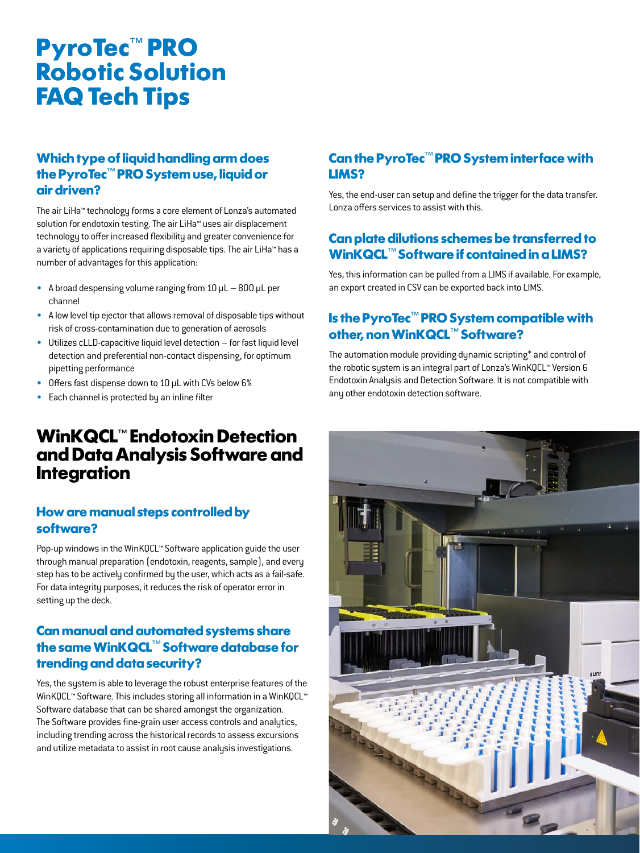#### **Which type of liquid handling arm does the PyroTec**™ **PRO System use, liquid or air driven?**

The air LiHa™ technology forms a core element of Lonza's automated solution for endotoxin testing. The air LiHa™ uses air displacement technology to offer increased flexibility and greater convenience for a variety of applications requiring disposable tips. The air LiHa™ has a number of advantages for this application:

- A broad despensing volume ranging from  $10 \mu L 800 \mu L$  per channel
- A low level tip ejector that allows removal of disposable tips without risk of cross-contamination due to generation of aerosols
- Utilizes cLLD-capacitive liquid level detection for fast liquid level detection and preferential non-contact dispensing, for optimum pipetting performance
- Offers fast dispense down to 10 µL with CVs below 6%
- Each channel is protected by an inline filter

### **WinKQCL**™ **Endotoxin Detection and Data Analysis Software and Integration**

#### **How are manual steps controlled by software?**

Pop-up windows in the WinKQCL™ Software application guide the user through manual preparation (endotoxin, reagents, sample), and every step has to be actively confirmed by the user, which acts as a fail-safe. For data integrity purposes, it reduces the risk of operator error in setting up the deck.

### **Can manual and automated systems share the same WinKQCL**™ **Software database for trending and data security?**

Yes, the system is able to leverage the robust enterprise features of the WinKQCL™ Software. This includes storing all information in a WinKQCL™ Software database that can be shared amongst the organization. The Software provides fine-grain user access controls and analytics, including trending across the historical records to assess excursions and utilize metadata to assist in root cause analysis investigations.

### **Can the PyroTec**™ **PRO System interface with LIMS?**

Yes, the end-user can setup and define the trigger for the data transfer. Lonza offers services to assist with this.

#### **Can plate dilutions schemes be transferred to WinKQCL**™ **Software if contained in a LIMS?**

Yes, this information can be pulled from a LIMS if available. For example, an export created in CSV can be exported back into LIMS.

### **Is the PyroTec**™ **PRO System compatible with other, non WinKQCL**™ **Software?**

The automation module providing dynamic scripting\* and control of the robotic system is an integral part of Lonza's WinKQCL™ Version 6 Endotoxin Analysis and Detection Software. It is not compatible with any other endotoxin detection software.

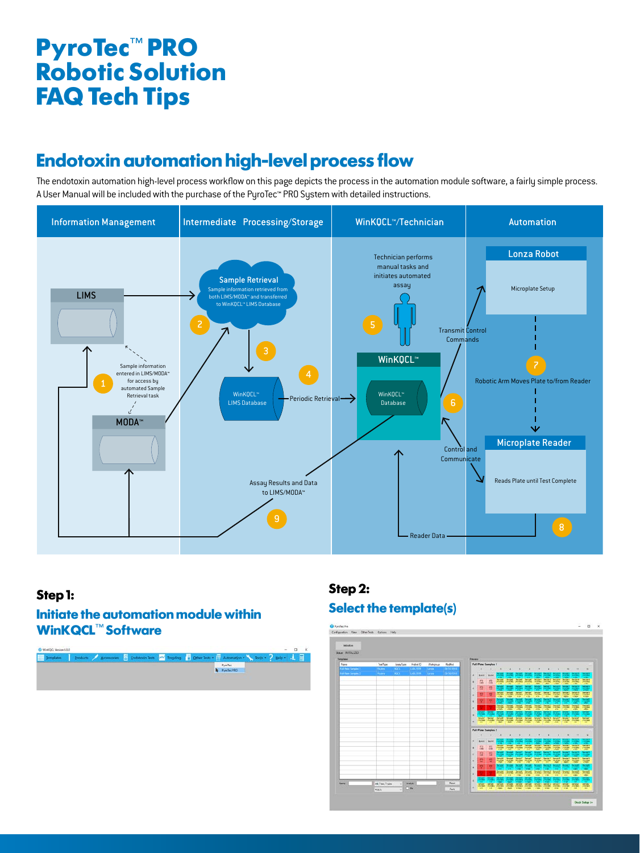### **Endotoxin automation high-level process flow**

The endotoxin automation high-level process workflow on this page depicts the process in the automation module software, a fairly simple process. A User Manual will be included with the purchase of the PyroTec™ PRO System with detailed instructions.



#### **Step 1:**

#### **Initiate the automation module within WinKQCL**™ **Software**



### **Step 2: Select the template(s)**

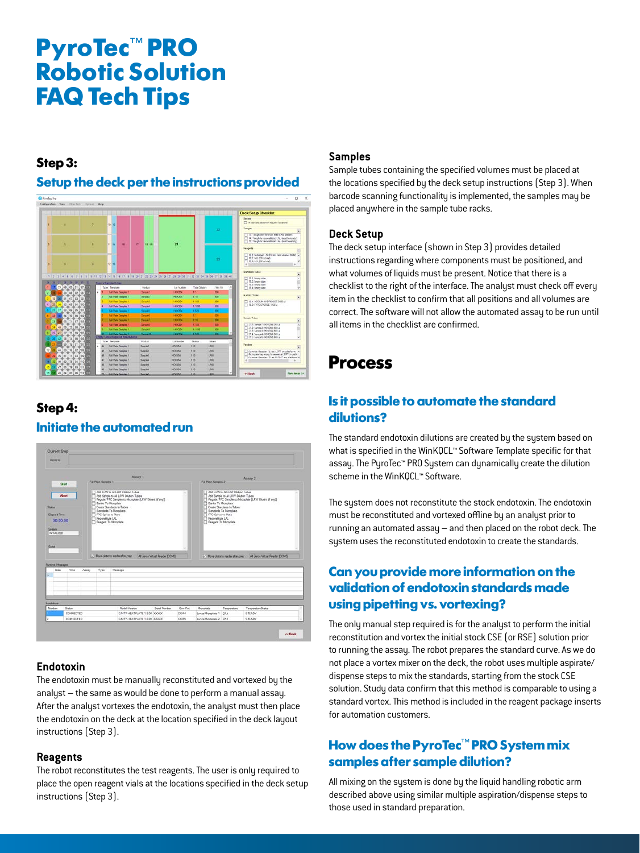#### **Step 3:**

#### **Setup the deck per the instructions provided**



### **Step 4: Initiate the automated run**



#### **Endotoxin**

The endotoxin must be manually reconstituted and vortexed by the analyst – the same as would be done to perform a manual assay. After the analyst vortexes the endotoxin, the analyst must then place the endotoxin on the deck at the location specified in the deck layout instructions (Step 3).

#### **Reagents**

The robot reconstitutes the test reagents. The user is only required to place the open reagent vials at the locations specified in the deck setup instructions (Step 3).

#### **Samples**

Sample tubes containing the specified volumes must be placed at the locations specified by the deck setup instructions (Step 3). When barcode scanning functionality is implemented, the samples may be placed anywhere in the sample tube racks.

#### **Deck Setup**

The deck setup interface (shown in Step 3) provides detailed instructions regarding where components must be positioned, and what volumes of liquids must be present. Notice that there is a checklist to the right of the interface. The analyst must check off every item in the checklist to confirm that all positions and all volumes are correct. The software will not allow the automated assay to be run until all items in the checklist are confirmed.

### **Process**

#### **Is it possible to automate the standard dilutions?**

The standard endotoxin dilutions are created by the system based on what is specified in the WinKQCL™ Software Template specific for that assay. The PyroTec™ PRO System can dynamically create the dilution scheme in the WinKQCL™ Software.

The system does not reconstitute the stock endotoxin. The endotoxin must be reconstituted and vortexed offline by an analyst prior to running an automated assay – and then placed on the robot deck. The system uses the reconstituted endotoxin to create the standards.

### **Can you provide more information on the validation of endotoxin standards made using pipetting vs. vortexing?**

The only manual step required is for the analyst to perform the initial reconstitution and vortex the initial stock CSE (or RSE) solution prior to running the assay. The robot prepares the standard curve. As we do not place a vortex mixer on the deck, the robot uses multiple aspirate/ dispense steps to mix the standards, starting from the stock CSE solution. Study data confirm that this method is comparable to using a standard vortex. This method is included in the reagent package inserts for automation customers.

### **How does the PyroTec**™ **PRO System mix samples after sample dilution?**

All mixing on the system is done by the liquid handling robotic arm described above using similar multiple aspiration/dispense steps to those used in standard preparation.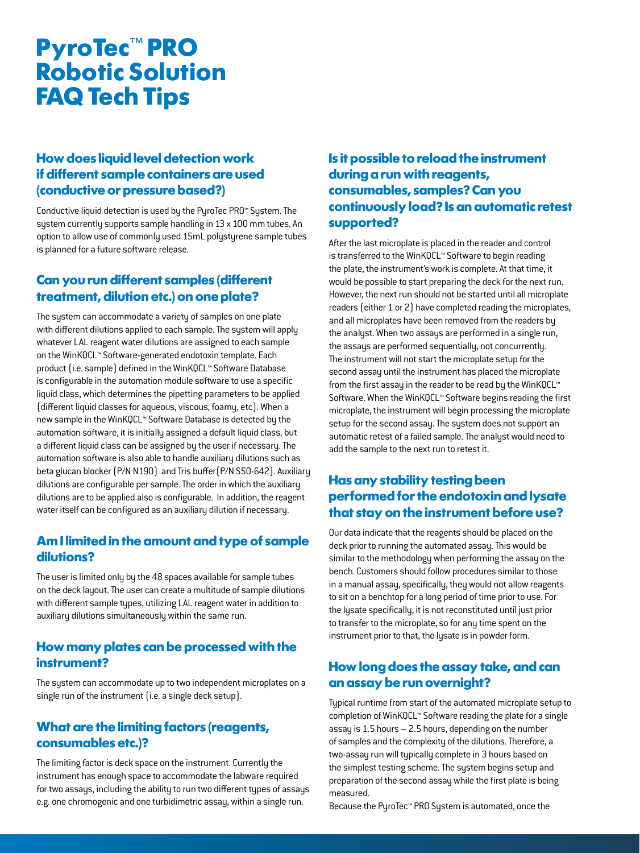#### **How does liquid level detection work if different sample containers are used (conductive or pressure based?)**

Conductive liquid detection is used by the PyroTec PRO™ System. The system currently supports sample handling in 13 x 100 mm tubes. An option to allow use of commonly used 15mL polystyrene sample tubes is planned for a future software release.

#### **Can you run different samples (different treatment, dilution etc.) on one plate?**

The system can accommodate a variety of samples on one plate with different dilutions applied to each sample. The system will apply whatever LAL reagent water dilutions are assigned to each sample on the WinKQCL™ Software-generated endotoxin template. Each product (i.e. sample) defined in the WinKQCL™ Software Database is configurable in the automation module software to use a specific liquid class, which determines the pipetting parameters to be applied (different liquid classes for aqueous, viscous, foamy, etc). When a new sample in the WinKQCL™ Software Database is detected by the automation software, it is initially assigned a default liquid class, but a different liquid class can be assigned by the user if necessary. The automation software is also able to handle auxiliary dilutions such as beta glucan blocker (P/N N190) and Tris buffer(P/N S50-642). Auxiliary dilutions are configurable per sample. The order in which the auxiliary dilutions are to be applied also is configurable. In addition, the reagent water itself can be configured as an auxiliary dilution if necessary.

#### **Am I limited in the amount and type of sample dilutions?**

The user is limited only by the 48 spaces available for sample tubes on the deck layout. The user can create a multitude of sample dilutions with different sample types, utilizing LAL reagent water in addition to auxiliary dilutions simultaneously within the same run.

#### **How many plates can be processed with the instrument?**

The system can accommodate up to two independent microplates on a single run of the instrument (i.e. a single deck setup).

#### **What are the limiting factors (reagents, consumables etc.)?**

The limiting factor is deck space on the instrument. Currently the instrument has enough space to accommodate the labware required for two assays, including the ability to run two different types of assays e.g. one chromogenic and one turbidimetric assay, within a single run.

#### **Is it possible to reload the instrument during a run with reagents, consumables, samples? Can you continuously load? Is an automatic retest supported?**

After the last microplate is placed in the reader and control is transferred to the WinKQCL™ Software to begin reading the plate, the instrument's work is complete. At that time, it would be possible to start preparing the deck for the next run. However, the next run should not be started until all microplate readers (either 1 or 2) have completed reading the microplates, and all microplates have been removed from the readers by the analyst. When two assays are performed in a single run, the assays are performed sequentially, not concurrently. The instrument will not start the microplate setup for the second assay until the instrument has placed the microplate from the first assay in the reader to be read by the WinKQCL™ Software. When the WinKQCL™ Software begins reading the first microplate, the instrument will begin processing the microplate setup for the second assay. The system does not support an automatic retest of a failed sample. The analyst would need to add the sample to the next run to retest it.

#### **Has any stability testing been performed for the endotoxin and lysate that stay on the instrument before use?**

Our data indicate that the reagents should be placed on the deck prior to running the automated assay. This would be similar to the methodology when performing the assay on the bench. Customers should follow procedures similar to those in a manual assay, specifically, they would not allow reagents to sit on a benchtop for a long period of time prior to use. For the lysate specifically, it is not reconstituted until just prior to transfer to the microplate, so for any time spent on the instrument prior to that, the lysate is in powder form.

#### **How long does the assay take, and can an assay be run overnight?**

Typical runtime from start of the automated microplate setup to completion of WinKQCL™ Software reading the plate for a single assay is 1.5 hours – 2.5 hours, depending on the number of samples and the complexity of the dilutions. Therefore, a two-assay run will typically complete in 3 hours based on the simplest testing scheme. The system begins setup and preparation of the second assay while the first plate is being measured.

Because the PyroTec™ PRO System is automated, once the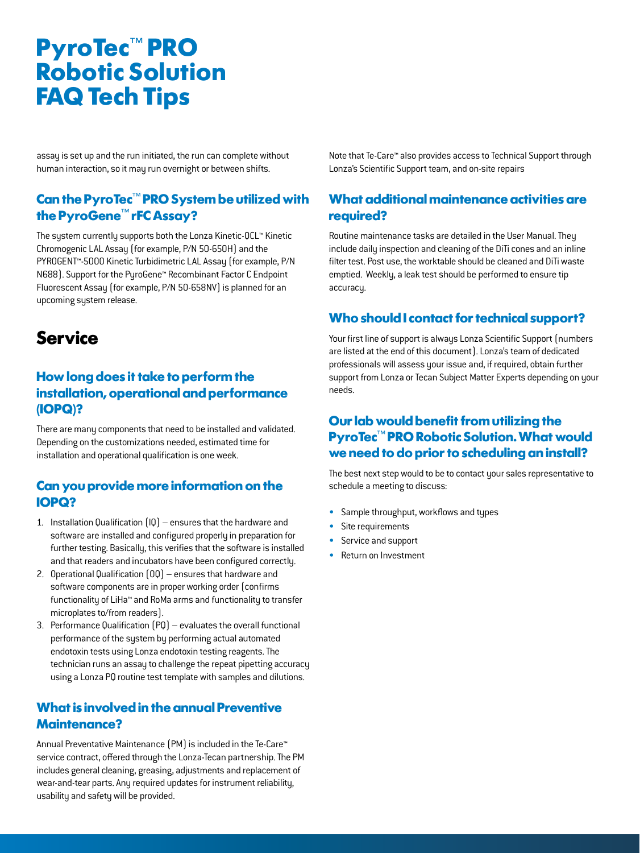assay is set up and the run initiated, the run can complete without human interaction, so it may run overnight or between shifts.

#### **Can the PyroTec**™ **PRO System be utilized with the PyroGene**™ **rFC Assay?**

The system currently supports both the Lonza Kinetic-QCL™ Kinetic Chromogenic LAL Assay (for example, P/N 50-650H) and the PYROGENT™-5000 Kinetic Turbidimetric LAL Assay (for example, P/N N688). Support for the PyroGene™ Recombinant Factor C Endpoint Fluorescent Assay (for example, P/N 50-658NV) is planned for an upcoming system release.

### **Service**

#### **How long does it take to perform the installation, operational and performance (IOPQ)?**

There are many components that need to be installed and validated. Depending on the customizations needed, estimated time for installation and operational qualification is one week.

#### **Can you provide more information on the IOPQ?**

- 1. Installation Qualification (IQ) ensures that the hardware and software are installed and configured properly in preparation for further testing. Basically, this verifies that the software is installed and that readers and incubators have been configured correctly.
- 2. Operational Qualification (OQ) ensures that hardware and software components are in proper working order (confirms functionality of LiHa™ and RoMa arms and functionality to transfer microplates to/from readers).
- 3. Performance Qualification (PQ) evaluates the overall functional performance of the system by performing actual automated endotoxin tests using Lonza endotoxin testing reagents. The technician runs an assay to challenge the repeat pipetting accuracy using a Lonza PQ routine test template with samples and dilutions.

#### **What is involved in the annual Preventive Maintenance?**

Annual Preventative Maintenance (PM) is included in the Te-Care™ service contract, offered through the Lonza-Tecan partnership. The PM includes general cleaning, greasing, adjustments and replacement of wear-and-tear parts. Any required updates for instrument reliability, usability and safety will be provided.

Note that Te-Care™ also provides access to Technical Support through Lonza's Scientific Support team, and on-site repairs

#### **What additional maintenance activities are required?**

Routine maintenance tasks are detailed in the User Manual. They include daily inspection and cleaning of the DiTi cones and an inline filter test. Post use, the worktable should be cleaned and DiTi waste emptied. Weekly, a leak test should be performed to ensure tip accuracy.

#### **Who should I contact for technical support?**

Your first line of support is always Lonza Scientific Support (numbers are listed at the end of this document). Lonza's team of dedicated professionals will assess your issue and, if required, obtain further support from Lonza or Tecan Subject Matter Experts depending on your needs.

#### **Our lab would benefit from utilizing the PyroTec**™ **PRO Robotic Solution. What would we need to do prior to scheduling an install?**

The best next step would to be to contact your sales representative to schedule a meeting to discuss:

- Sample throughput, workflows and types
- Site requirements
- Service and support
- Return on Investment